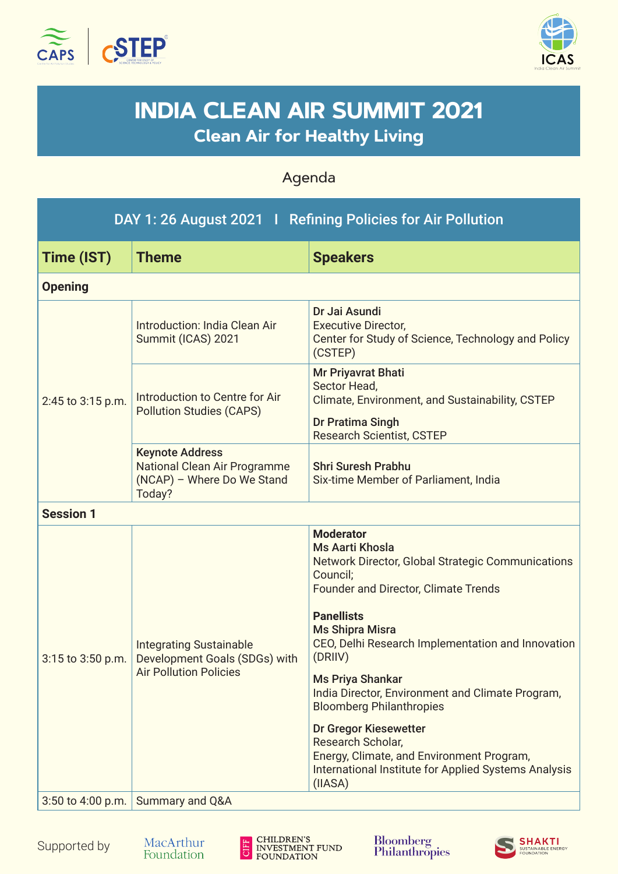



## **INDIA CLEAN AIR SUMMIT 2021 Clean Air for Healthy Living**

Agenda

| DAY 1: 26 August 2021   Refining Policies for Air Pollution |                                                                                                  |                                                                                                                                                                                                                                                                                                      |  |  |  |
|-------------------------------------------------------------|--------------------------------------------------------------------------------------------------|------------------------------------------------------------------------------------------------------------------------------------------------------------------------------------------------------------------------------------------------------------------------------------------------------|--|--|--|
| Time (IST)                                                  | <b>Theme</b>                                                                                     | <b>Speakers</b>                                                                                                                                                                                                                                                                                      |  |  |  |
| <b>Opening</b>                                              |                                                                                                  |                                                                                                                                                                                                                                                                                                      |  |  |  |
| 2:45 to 3:15 p.m.                                           | Introduction: India Clean Air<br>Summit (ICAS) 2021                                              | Dr Jai Asundi<br><b>Executive Director,</b><br>Center for Study of Science, Technology and Policy<br>(CSTEP)                                                                                                                                                                                         |  |  |  |
|                                                             | Introduction to Centre for Air<br><b>Pollution Studies (CAPS)</b>                                | Mr Priyavrat Bhati<br>Sector Head,<br>Climate, Environment, and Sustainability, CSTEP<br>Dr Pratima Singh<br><b>Research Scientist, CSTEP</b>                                                                                                                                                        |  |  |  |
|                                                             | <b>Keynote Address</b><br>National Clean Air Programme<br>(NCAP) - Where Do We Stand<br>Today?   | <b>Shri Suresh Prabhu</b><br>Six-time Member of Parliament, India                                                                                                                                                                                                                                    |  |  |  |
| <b>Session 1</b>                                            |                                                                                                  |                                                                                                                                                                                                                                                                                                      |  |  |  |
| $3:15$ to $3:50$ p.m.                                       | <b>Integrating Sustainable</b><br>Development Goals (SDGs) with<br><b>Air Pollution Policies</b> | <b>Moderator</b><br><b>Ms Aarti Khosla</b><br>Network Director, Global Strategic Communications<br>Council;<br><b>Founder and Director, Climate Trends</b><br><b>Panellists</b><br><b>Ms Shipra Misra</b><br>CEO, Delhi Research Implementation and Innovation<br>(DRIIV)<br><b>Ms Priya Shankar</b> |  |  |  |
|                                                             |                                                                                                  | India Director, Environment and Climate Program,<br><b>Bloomberg Philanthropies</b><br>Dr Gregor Kiesewetter<br>Research Scholar,<br>Energy, Climate, and Environment Program,<br>International Institute for Applied Systems Analysis<br>(IIASA)                                                    |  |  |  |
|                                                             | 3:50 to 4:00 p.m. Summary and Q&A                                                                |                                                                                                                                                                                                                                                                                                      |  |  |  |

Supported by



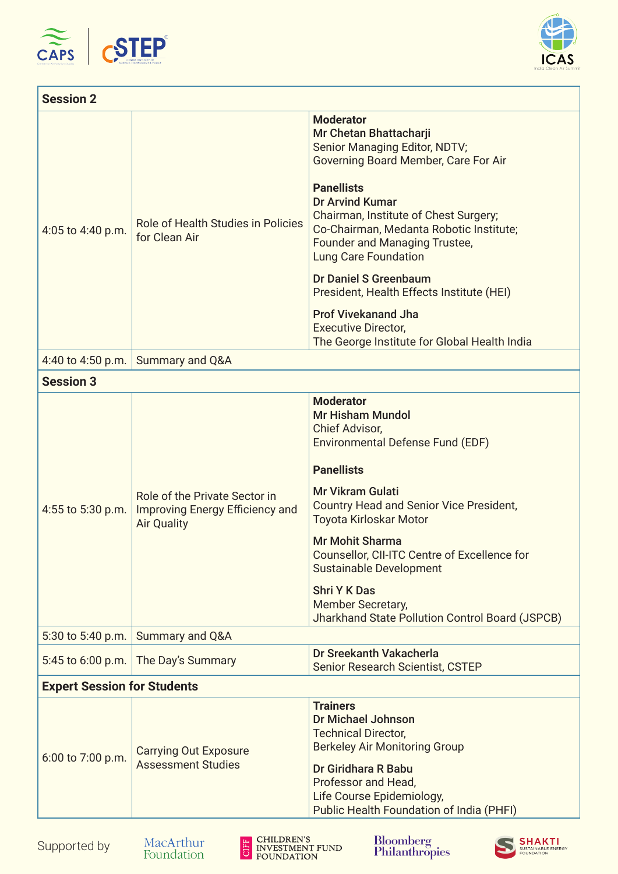



| <b>Session 2</b>                   |                                                                                               |                                                                                                                                                                                                                                                                                                                                                                                                                                                                                                                        |  |  |
|------------------------------------|-----------------------------------------------------------------------------------------------|------------------------------------------------------------------------------------------------------------------------------------------------------------------------------------------------------------------------------------------------------------------------------------------------------------------------------------------------------------------------------------------------------------------------------------------------------------------------------------------------------------------------|--|--|
| 4:05 to 4:40 p.m.                  | Role of Health Studies in Policies<br>for Clean Air                                           | <b>Moderator</b><br>Mr Chetan Bhattacharji<br>Senior Managing Editor, NDTV;<br>Governing Board Member, Care For Air<br><b>Panellists</b><br><b>Dr Arvind Kumar</b><br>Chairman, Institute of Chest Surgery;<br>Co-Chairman, Medanta Robotic Institute;<br><b>Founder and Managing Trustee,</b><br><b>Lung Care Foundation</b><br><b>Dr Daniel S Greenbaum</b><br>President, Health Effects Institute (HEI)<br><b>Prof Vivekanand Jha</b><br><b>Executive Director,</b><br>The George Institute for Global Health India |  |  |
| 4:40 to 4:50 p.m.                  | Summary and Q&A                                                                               |                                                                                                                                                                                                                                                                                                                                                                                                                                                                                                                        |  |  |
| <b>Session 3</b>                   |                                                                                               |                                                                                                                                                                                                                                                                                                                                                                                                                                                                                                                        |  |  |
| 4:55 to 5:30 p.m.                  | Role of the Private Sector in<br><b>Improving Energy Efficiency and</b><br><b>Air Quality</b> | <b>Moderator</b><br><b>Mr Hisham Mundol</b><br>Chief Advisor,<br>Environmental Defense Fund (EDF)<br><b>Panellists</b><br><b>Mr Vikram Gulati</b><br><b>Country Head and Senior Vice President,</b><br>Toyota Kirloskar Motor<br><b>Mr Mohit Sharma</b><br>Counsellor, CII-ITC Centre of Excellence for<br>Sustainable Development<br><b>Shri Y K Das</b><br>Member Secretary,<br>Jharkhand State Pollution Control Board (JSPCB)                                                                                      |  |  |
| 5:30 to 5:40 p.m.                  | Summary and Q&A                                                                               |                                                                                                                                                                                                                                                                                                                                                                                                                                                                                                                        |  |  |
| 5:45 to 6:00 p.m.                  | The Day's Summary                                                                             | Dr Sreekanth Vakacherla<br>Senior Research Scientist, CSTEP                                                                                                                                                                                                                                                                                                                                                                                                                                                            |  |  |
| <b>Expert Session for Students</b> |                                                                                               |                                                                                                                                                                                                                                                                                                                                                                                                                                                                                                                        |  |  |
| 6:00 to 7:00 p.m.                  | <b>Carrying Out Exposure</b><br><b>Assessment Studies</b>                                     | <b>Trainers</b><br><b>Dr Michael Johnson</b><br><b>Technical Director,</b><br><b>Berkeley Air Monitoring Group</b><br>Dr Giridhara R Babu<br>Professor and Head,<br>Life Course Epidemiology,<br>Public Health Foundation of India (PHFI)                                                                                                                                                                                                                                                                              |  |  |





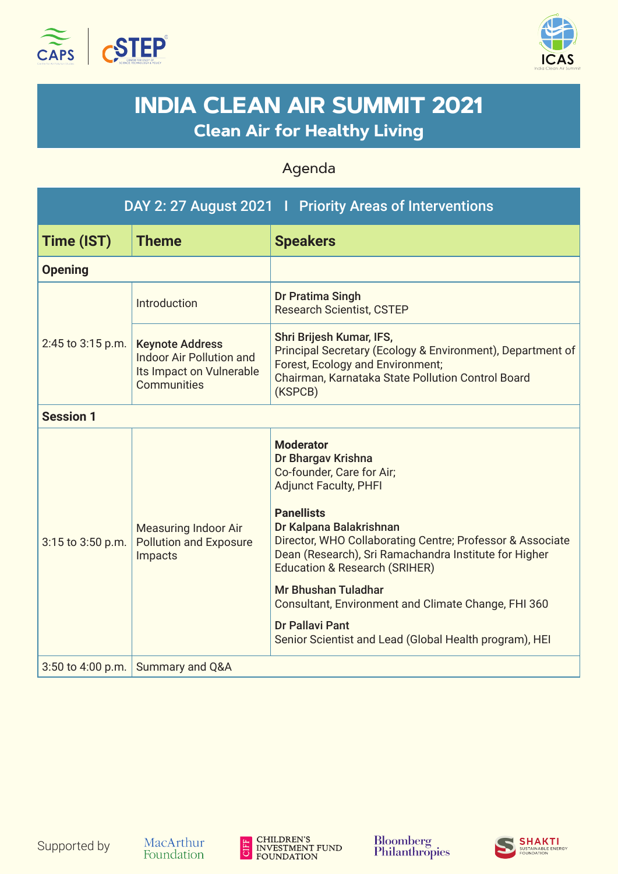



## **INDIA CLEAN AIR SUMMIT 2021 Clean Air for Healthy Living**

## Agenda

| DAY 2: 27 August 2021   Priority Areas of Interventions |                                                                                               |                                                                                                                                                                                                                                                                                                                                                                                                                                                                                         |  |  |
|---------------------------------------------------------|-----------------------------------------------------------------------------------------------|-----------------------------------------------------------------------------------------------------------------------------------------------------------------------------------------------------------------------------------------------------------------------------------------------------------------------------------------------------------------------------------------------------------------------------------------------------------------------------------------|--|--|
| Time (IST)                                              | <b>Theme</b>                                                                                  | <b>Speakers</b>                                                                                                                                                                                                                                                                                                                                                                                                                                                                         |  |  |
| <b>Opening</b>                                          |                                                                                               |                                                                                                                                                                                                                                                                                                                                                                                                                                                                                         |  |  |
| 2:45 to 3:15 p.m.                                       | Introduction                                                                                  | Dr Pratima Singh<br><b>Research Scientist, CSTEP</b>                                                                                                                                                                                                                                                                                                                                                                                                                                    |  |  |
|                                                         | <b>Keynote Address</b><br>Indoor Air Pollution and<br>Its Impact on Vulnerable<br>Communities | Shri Brijesh Kumar, IFS,<br>Principal Secretary (Ecology & Environment), Department of<br>Forest, Ecology and Environment;<br>Chairman, Karnataka State Pollution Control Board<br>(KSPCB)                                                                                                                                                                                                                                                                                              |  |  |
| <b>Session 1</b>                                        |                                                                                               |                                                                                                                                                                                                                                                                                                                                                                                                                                                                                         |  |  |
| 3:15 to 3:50 p.m.                                       | <b>Measuring Indoor Air</b><br><b>Pollution and Exposure</b><br>Impacts                       | <b>Moderator</b><br>Dr Bhargav Krishna<br>Co-founder, Care for Air;<br><b>Adjunct Faculty, PHFI</b><br><b>Panellists</b><br>Dr Kalpana Balakrishnan<br>Director, WHO Collaborating Centre; Professor & Associate<br>Dean (Research), Sri Ramachandra Institute for Higher<br><b>Education &amp; Research (SRIHER)</b><br>Mr Bhushan Tuladhar<br>Consultant, Environment and Climate Change, FHI 360<br><b>Dr Pallavi Pant</b><br>Senior Scientist and Lead (Global Health program), HEI |  |  |
| 3:50 to 4:00 p.m.                                       | Summary and Q&A                                                                               |                                                                                                                                                                                                                                                                                                                                                                                                                                                                                         |  |  |